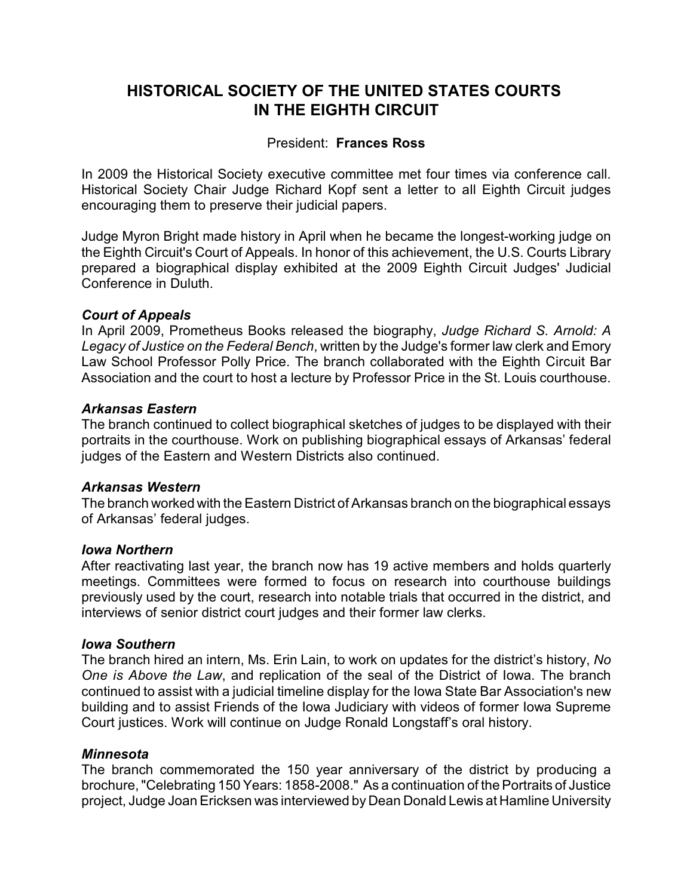# **HISTORICAL SOCIETY OF THE UNITED STATES COURTS IN THE EIGHTH CIRCUIT**

# President: **Frances Ross**

In 2009 the Historical Society executive committee met four times via conference call. Historical Society Chair Judge Richard Kopf sent a letter to all Eighth Circuit judges encouraging them to preserve their judicial papers.

Judge Myron Bright made history in April when he became the longest-working judge on the Eighth Circuit's Court of Appeals. In honor of this achievement, the U.S. Courts Library prepared a biographical display exhibited at the 2009 Eighth Circuit Judges' Judicial Conference in Duluth.

# *Court of Appeals*

In April 2009, Prometheus Books released the biography, *Judge Richard S. Arnold: A Legacy of Justice on the Federal Bench*, written by the Judge's former law clerk and Emory Law School Professor Polly Price. The branch collaborated with the Eighth Circuit Bar Association and the court to host a lecture by Professor Price in the St. Louis courthouse.

### *Arkansas Eastern*

The branch continued to collect biographical sketches of judges to be displayed with their portraits in the courthouse. Work on publishing biographical essays of Arkansas' federal judges of the Eastern and Western Districts also continued.

### *Arkansas Western*

The branch worked with the Eastern District of Arkansas branch on the biographical essays of Arkansas' federal judges.

### *Iowa Northern*

After reactivating last year, the branch now has 19 active members and holds quarterly meetings. Committees were formed to focus on research into courthouse buildings previously used by the court, research into notable trials that occurred in the district, and interviews of senior district court judges and their former law clerks.

### *Iowa Southern*

The branch hired an intern, Ms. Erin Lain, to work on updates for the district's history, *No One is Above the Law*, and replication of the seal of the District of Iowa. The branch continued to assist with a judicial timeline display for the Iowa State Bar Association's new building and to assist Friends of the Iowa Judiciary with videos of former Iowa Supreme Court justices. Work will continue on Judge Ronald Longstaff's oral history.

### *Minnesota*

The branch commemorated the 150 year anniversary of the district by producing a brochure, "Celebrating 150 Years: 1858-2008." As a continuation of the Portraits of Justice project, Judge Joan Ericksen was interviewed by Dean Donald Lewis at Hamline University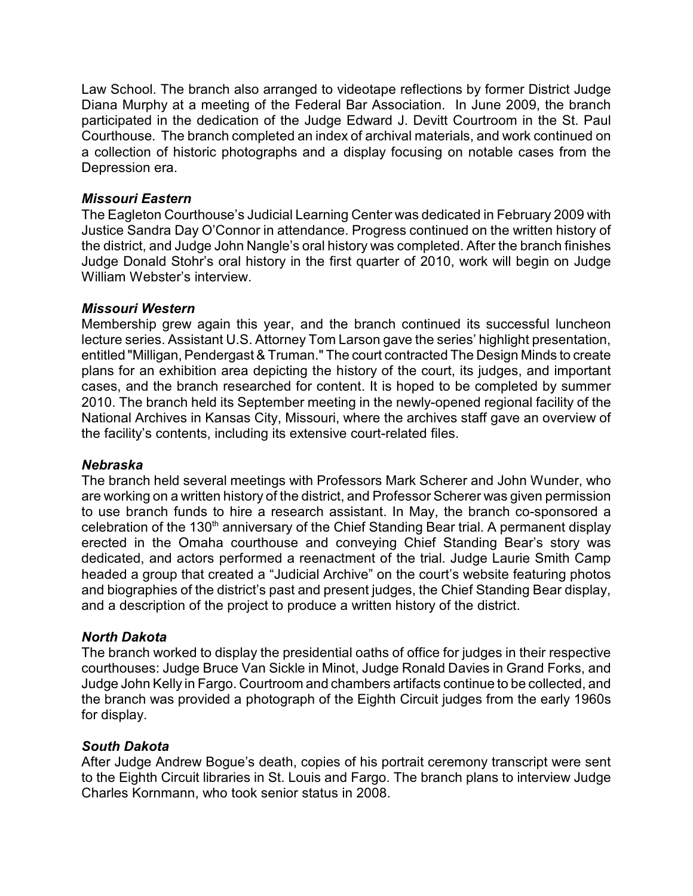Law School. The branch also arranged to videotape reflections by former District Judge Diana Murphy at a meeting of the Federal Bar Association. In June 2009, the branch participated in the dedication of the Judge Edward J. Devitt Courtroom in the St. Paul Courthouse. The branch completed an index of archival materials, and work continued on a collection of historic photographs and a display focusing on notable cases from the Depression era.

# *Missouri Eastern*

The Eagleton Courthouse's Judicial Learning Center was dedicated in February 2009 with Justice Sandra Day O'Connor in attendance. Progress continued on the written history of the district, and Judge John Nangle's oral history was completed. After the branch finishes Judge Donald Stohr's oral history in the first quarter of 2010, work will begin on Judge William Webster's interview.

# *Missouri Western*

Membership grew again this year, and the branch continued its successful luncheon lecture series. Assistant U.S. Attorney Tom Larson gave the series' highlight presentation, entitled "Milligan, Pendergast & Truman." The court contracted The Design Minds to create plans for an exhibition area depicting the history of the court, its judges, and important cases, and the branch researched for content. It is hoped to be completed by summer 2010. The branch held its September meeting in the newly-opened regional facility of the National Archives in Kansas City, Missouri, where the archives staff gave an overview of the facility's contents, including its extensive court-related files.

# *Nebraska*

The branch held several meetings with Professors Mark Scherer and John Wunder, who are working on a written history of the district, and Professor Scherer was given permission to use branch funds to hire a research assistant. In May, the branch co-sponsored a celebration of the 130<sup>th</sup> anniversary of the Chief Standing Bear trial. A permanent display erected in the Omaha courthouse and conveying Chief Standing Bear's story was dedicated, and actors performed a reenactment of the trial. Judge Laurie Smith Camp headed a group that created a "Judicial Archive" on the court's website featuring photos and biographies of the district's past and present judges, the Chief Standing Bear display, and a description of the project to produce a written history of the district.

# *North Dakota*

The branch worked to display the presidential oaths of office for judges in their respective courthouses: Judge Bruce Van Sickle in Minot, Judge Ronald Davies in Grand Forks, and Judge John Kelly in Fargo. Courtroom and chambers artifacts continue to be collected, and the branch was provided a photograph of the Eighth Circuit judges from the early 1960s for display.

# *South Dakota*

After Judge Andrew Bogue's death, copies of his portrait ceremony transcript were sent to the Eighth Circuit libraries in St. Louis and Fargo. The branch plans to interview Judge Charles Kornmann, who took senior status in 2008.